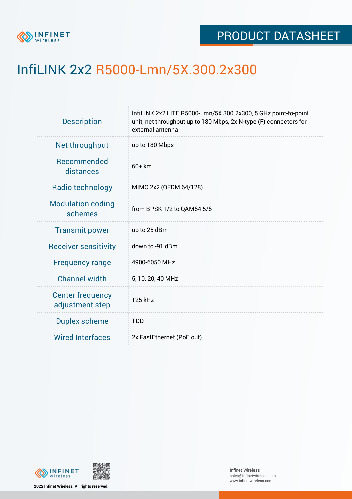

## InfiLINK 2x2 R5000-Lmn/5X.300.2x300

| <b>Description</b>                         | InfiLINK 2x2 LITE R5000-Lmn/5X.300.2x300, 5 GHz point-to-point<br>unit, net throughput up to 180 Mbps, 2x N-type (F) connectors for<br>external antenna |  |  |  |  |
|--------------------------------------------|---------------------------------------------------------------------------------------------------------------------------------------------------------|--|--|--|--|
| Net throughput                             | up to 180 Mbps                                                                                                                                          |  |  |  |  |
| <b>Recommended</b><br>distances            | $60+km$                                                                                                                                                 |  |  |  |  |
| Radio technology                           | MIMO 2x2 (OFDM 64/128)                                                                                                                                  |  |  |  |  |
| <b>Modulation coding</b><br>schemes        | from BPSK 1/2 to QAM64 5/6                                                                                                                              |  |  |  |  |
| <b>Transmit power</b>                      | up to 25 dBm                                                                                                                                            |  |  |  |  |
| <b>Receiver sensitivity</b>                | down to -91 dBm                                                                                                                                         |  |  |  |  |
| <b>Frequency range</b>                     | 4900-6050 MHz                                                                                                                                           |  |  |  |  |
| <b>Channel width</b>                       | 5, 10, 20, 40 MHz                                                                                                                                       |  |  |  |  |
| <b>Center frequency</b><br>adjustment step | 125 kHz                                                                                                                                                 |  |  |  |  |
| <b>Duplex scheme</b>                       | <b>TDD</b>                                                                                                                                              |  |  |  |  |
| <b>Wired Interfaces</b>                    | 2x FastEthernet (PoE out)                                                                                                                               |  |  |  |  |
|                                            |                                                                                                                                                         |  |  |  |  |





**2022 Infinet Wireless. All rights reserved.**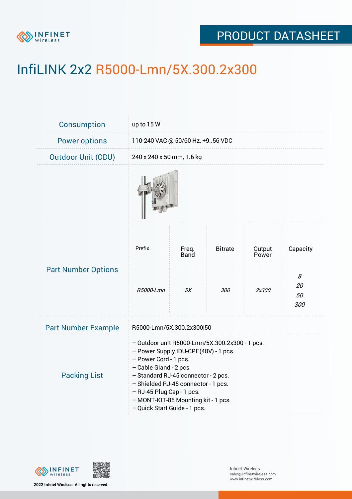

## PRODUCT DATASHEET

# InfiLINK 2x2 R5000-Lmn/5X.300.2x300

| <b>Consumption</b>         | up to 15 W                                                                                                                                                                                                                                                                                                                  |                      |                |                 |                      |  |  |
|----------------------------|-----------------------------------------------------------------------------------------------------------------------------------------------------------------------------------------------------------------------------------------------------------------------------------------------------------------------------|----------------------|----------------|-----------------|----------------------|--|--|
| <b>Power options</b>       | 110-240 VAC @ 50/60 Hz, +956 VDC                                                                                                                                                                                                                                                                                            |                      |                |                 |                      |  |  |
| <b>Outdoor Unit (ODU)</b>  | 240 x 240 x 50 mm, 1.6 kg                                                                                                                                                                                                                                                                                                   |                      |                |                 |                      |  |  |
|                            |                                                                                                                                                                                                                                                                                                                             |                      |                |                 |                      |  |  |
| <b>Part Number Options</b> | Prefix                                                                                                                                                                                                                                                                                                                      | Freq.<br><b>Band</b> | <b>Bitrate</b> | Output<br>Power | Capacity             |  |  |
|                            | R5000-Lmn                                                                                                                                                                                                                                                                                                                   | 5X                   | <i>300</i>     | 2x300           | 8<br>20<br>50<br>300 |  |  |
| <b>Part Number Example</b> | R5000-Lmn/5X.300.2x300 50                                                                                                                                                                                                                                                                                                   |                      |                |                 |                      |  |  |
| <b>Packing List</b>        | - Outdoor unit R5000-Lmn/5X.300.2x300 - 1 pcs.<br>- Power Supply IDU-CPE(48V) - 1 pcs.<br>- Power Cord - 1 pcs.<br>- Cable Gland - 2 pcs.<br>- Standard RJ-45 connector - 2 pcs.<br>- Shielded RJ-45 connector - 1 pcs.<br>- RJ-45 Plug Cap - 1 pcs.<br>- MONT-KIT-85 Mounting kit - 1 pcs.<br>- Quick Start Guide - 1 pcs. |                      |                |                 |                      |  |  |



**2022 Infinet Wireless. All rights reserved.**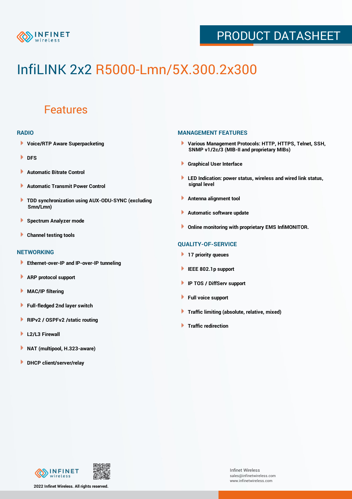

## PRODUCT DATASHEET

# InfiLINK 2x2 R5000-Lmn/5X.300.2x300

### Features

#### **RADIO**

- **Voice/RTP Aware Superpacketing**
- **DFS**
- **Automatic Bitrate Control** Þ
- Þ **Automatic Transmit Power Control**
- ь **TDD synchronization using AUX-ODU-SYNC (excluding Smn/Lmn)**
- **Spectrum Analyzer mode** ۰
- **Channel testing tools** ١

#### **NETWORKING**

- **Ethernet-over-IP and IP-over-IP tunneling**
- Þ **ARP protocol support**
- ۱ **MAC/IP filtering**
- Þ **Full-fledged 2nd layer switch**
- Þ **RIPv2 / OSPFv2 /static routing**
- **L2/L3 Firewall** Þ
- **NAT (multipool, H.323-aware)** Þ
- Þ **DHCP client/server/relay**

#### **MANAGEMENT FEATURES**

- **Various Management Protocols: HTTP, HTTPS, Telnet, SSH, SNMP v1/2c/3 (MIB-II and proprietary MIBs)**
- **Graphical User Interface**
- **LED Indication: power status, wireless and wired link status, signal level**
- **Antenna alignment tool**
- ٠ **Automatic software update**
- **Online monitoring with proprietary EMS InfiMONITOR.**

#### **QUALITY-OF-SERVICE**

- **17 priority queues**
- **IEEE 802.1p support**
- **IP TOS / DiffServ support**
- ٠ **Full voice support**
- **Traffic limiting (absolute, relative, mixed)** ٠
- **Traffic redirection**